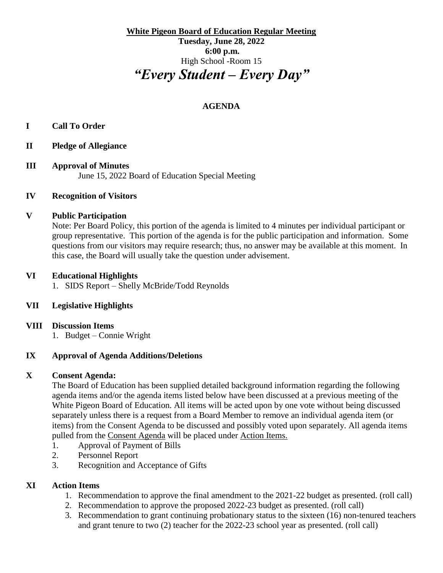**White Pigeon Board of Education Regular Meeting Tuesday, June 28, 2022 6:00 p.m.** High School -Room 15 *"Every Student – Every Day"*

# **AGENDA**

### **I Call To Order**

- **II Pledge of Allegiance**
- **III Approval of Minutes** June 15, 2022 Board of Education Special Meeting

#### **IV Recognition of Visitors**

#### **V Public Participation**

Note: Per Board Policy, this portion of the agenda is limited to 4 minutes per individual participant or group representative. This portion of the agenda is for the public participation and information. Some questions from our visitors may require research; thus, no answer may be available at this moment. In this case, the Board will usually take the question under advisement.

#### **VI Educational Highlights**

1. SIDS Report – Shelly McBride/Todd Reynolds

### **VII Legislative Highlights**

- **VIII Discussion Items**
	- 1. Budget Connie Wright

### **IX Approval of Agenda Additions/Deletions**

### **X Consent Agenda:**

The Board of Education has been supplied detailed background information regarding the following agenda items and/or the agenda items listed below have been discussed at a previous meeting of the White Pigeon Board of Education. All items will be acted upon by one vote without being discussed separately unless there is a request from a Board Member to remove an individual agenda item (or items) from the Consent Agenda to be discussed and possibly voted upon separately. All agenda items pulled from the Consent Agenda will be placed under Action Items.

- 1. Approval of Payment of Bills
- 2. Personnel Report
- 3. Recognition and Acceptance of Gifts

# **XI Action Items**

- 1. Recommendation to approve the final amendment to the 2021-22 budget as presented. (roll call)
- 2. Recommendation to approve the proposed 2022-23 budget as presented. (roll call)
- 3. Recommendation to grant continuing probationary status to the sixteen (16) non-tenured teachers and grant tenure to two (2) teacher for the 2022-23 school year as presented. (roll call)